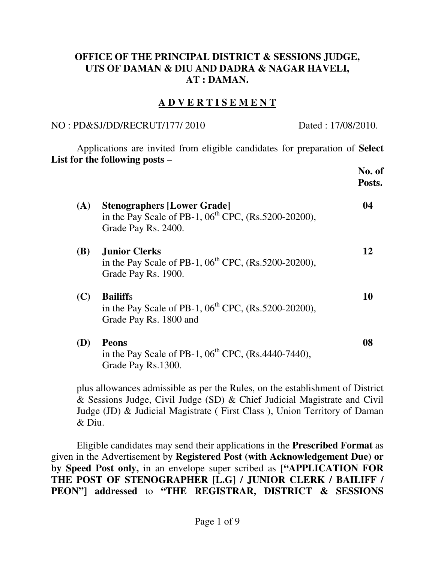### **OFFICE OF THE PRINCIPAL DISTRICT & SESSIONS JUDGE, UTS OF DAMAN & DIU AND DADRA & NAGAR HAVELI, AT : DAMAN.**

## **A D V E R T I S E M E N T**

NO : PD&SJ/DD/RECRUT/177/ 2010 Dated : 17/08/2010.

 Applications are invited from eligible candidates for preparation of **Select List for the following posts** –

|            |                                                                                                                               | No. of<br>Posts. |
|------------|-------------------------------------------------------------------------------------------------------------------------------|------------------|
| (A)        | <b>Stenographers [Lower Grade]</b><br>in the Pay Scale of PB-1, $06^{\text{th}}$ CPC, (Rs.5200-20200),<br>Grade Pay Rs. 2400. | 04               |
| <b>(B)</b> | <b>Junior Clerks</b><br>in the Pay Scale of PB-1, $06^{th}$ CPC, (Rs.5200-20200),<br>Grade Pay Rs. 1900.                      | 12               |
| (C)        | <b>Bailiffs</b><br>in the Pay Scale of PB-1, $06^{\text{th}}$ CPC, (Rs.5200-20200),<br>Grade Pay Rs. 1800 and                 | 10               |
| (D)        | <b>Peons</b><br>in the Pay Scale of PB-1, $06^{th}$ CPC, (Rs.4440-7440),<br>Grade Pay Rs.1300.                                | 08               |

plus allowances admissible as per the Rules, on the establishment of District & Sessions Judge, Civil Judge (SD) & Chief Judicial Magistrate and Civil Judge (JD) & Judicial Magistrate ( First Class ), Union Territory of Daman & Diu.

 Eligible candidates may send their applications in the **Prescribed Format** as given in the Advertisement by **Registered Post (with Acknowledgement Due) or by Speed Post only,** in an envelope super scribed as [**"APPLICATION FOR THE POST OF STENOGRAPHER [L.G] / JUNIOR CLERK / BAILIFF / PEON"] addressed** to **"THE REGISTRAR, DISTRICT & SESSIONS**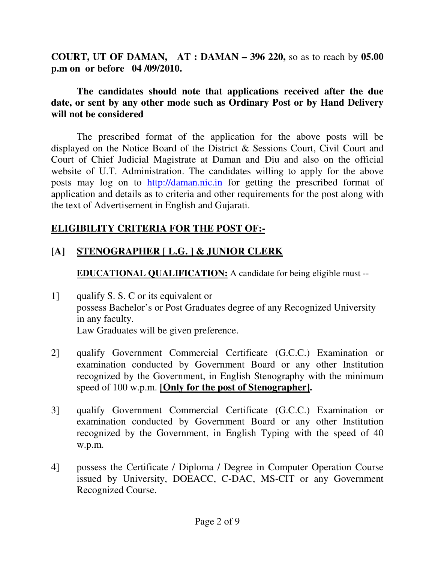**COURT, UT OF DAMAN, AT : DAMAN – 396 220,** so as to reach by **05.00 p.m on or before 04 /09/2010.** 

## **The candidates should note that applications received after the due date, or sent by any other mode such as Ordinary Post or by Hand Delivery will not be considered**

The prescribed format of the application for the above posts will be displayed on the Notice Board of the District & Sessions Court, Civil Court and Court of Chief Judicial Magistrate at Daman and Diu and also on the official website of U.T. Administration. The candidates willing to apply for the above posts may log on to http://daman.nic.in for getting the prescribed format of application and details as to criteria and other requirements for the post along with the text of Advertisement in English and Gujarati.

## **ELIGIBILITY CRITERIA FOR THE POST OF:-**

## **[A] STENOGRAPHER [ L.G. ] & JUNIOR CLERK**

**EDUCATIONAL QUALIFICATION:** A candidate for being eligible must --

- 1] qualify S. S. C or its equivalent or possess Bachelor's or Post Graduates degree of any Recognized University in any faculty. Law Graduates will be given preference.
- 2] qualify Government Commercial Certificate (G.C.C.) Examination or examination conducted by Government Board or any other Institution recognized by the Government, in English Stenography with the minimum speed of 100 w.p.m. **[Only for the post of Stenographer].**
- 3] qualify Government Commercial Certificate (G.C.C.) Examination or examination conducted by Government Board or any other Institution recognized by the Government, in English Typing with the speed of 40 w.p.m.
- 4] possess the Certificate / Diploma / Degree in Computer Operation Course issued by University, DOEACC, C-DAC, MS-CIT or any Government Recognized Course.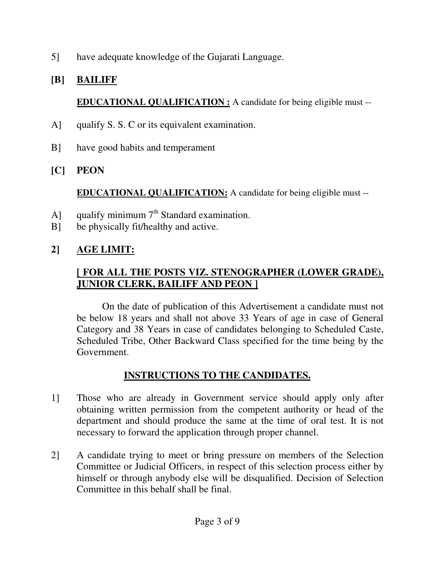5] have adequate knowledge of the Gujarati Language.

## **[B] BAILIFF**

**EDUCATIONAL QUALIFICATION :** A candidate for being eligible must --

- A] qualify S. S. C or its equivalent examination.
- B] have good habits and temperament
- **[C] PEON**

**EDUCATIONAL QUALIFICATION:** A candidate for being eligible must --

- A] qualify minimum  $7<sup>th</sup>$  Standard examination.
- B] be physically fit/healthy and active.

## **2] AGE LIMIT:**

## **[ FOR ALL THE POSTS VIZ. STENOGRAPHER (LOWER GRADE), JUNIOR CLERK, BAILIFF AND PEON ]**

 On the date of publication of this Advertisement a candidate must not be below 18 years and shall not above 33 Years of age in case of General Category and 38 Years in case of candidates belonging to Scheduled Caste, Scheduled Tribe, Other Backward Class specified for the time being by the Government.

## **INSTRUCTIONS TO THE CANDIDATES.**

- 1] Those who are already in Government service should apply only after obtaining written permission from the competent authority or head of the department and should produce the same at the time of oral test. It is not necessary to forward the application through proper channel.
- 2] A candidate trying to meet or bring pressure on members of the Selection Committee or Judicial Officers, in respect of this selection process either by himself or through anybody else will be disqualified. Decision of Selection Committee in this behalf shall be final.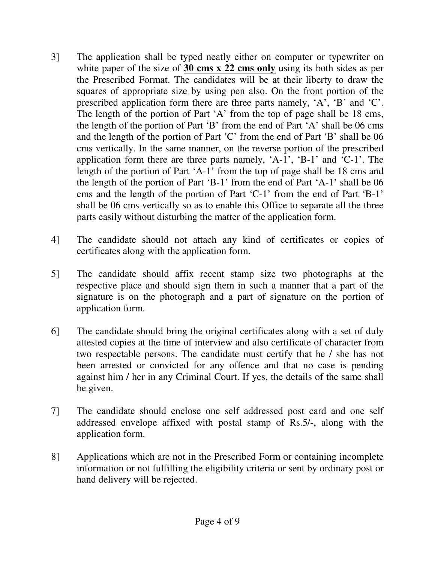- 3] The application shall be typed neatly either on computer or typewriter on white paper of the size of **30 cms x 22 cms only** using its both sides as per the Prescribed Format. The candidates will be at their liberty to draw the squares of appropriate size by using pen also. On the front portion of the prescribed application form there are three parts namely, 'A', 'B' and 'C'. The length of the portion of Part 'A' from the top of page shall be 18 cms, the length of the portion of Part 'B' from the end of Part 'A' shall be 06 cms and the length of the portion of Part 'C' from the end of Part 'B' shall be 06 cms vertically. In the same manner, on the reverse portion of the prescribed application form there are three parts namely, 'A-1', 'B-1' and 'C-1'. The length of the portion of Part 'A-1' from the top of page shall be 18 cms and the length of the portion of Part 'B-1' from the end of Part 'A-1' shall be 06 cms and the length of the portion of Part 'C-1' from the end of Part 'B-1' shall be 06 cms vertically so as to enable this Office to separate all the three parts easily without disturbing the matter of the application form.
- 4] The candidate should not attach any kind of certificates or copies of certificates along with the application form.
- 5] The candidate should affix recent stamp size two photographs at the respective place and should sign them in such a manner that a part of the signature is on the photograph and a part of signature on the portion of application form.
- 6] The candidate should bring the original certificates along with a set of duly attested copies at the time of interview and also certificate of character from two respectable persons. The candidate must certify that he / she has not been arrested or convicted for any offence and that no case is pending against him / her in any Criminal Court. If yes, the details of the same shall be given.
- 7] The candidate should enclose one self addressed post card and one self addressed envelope affixed with postal stamp of Rs.5/-, along with the application form.
- 8] Applications which are not in the Prescribed Form or containing incomplete information or not fulfilling the eligibility criteria or sent by ordinary post or hand delivery will be rejected.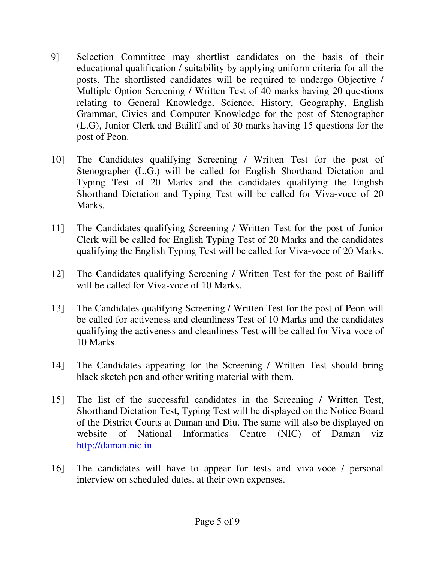- 9] Selection Committee may shortlist candidates on the basis of their educational qualification / suitability by applying uniform criteria for all the posts. The shortlisted candidates will be required to undergo Objective / Multiple Option Screening / Written Test of 40 marks having 20 questions relating to General Knowledge, Science, History, Geography, English Grammar, Civics and Computer Knowledge for the post of Stenographer (L.G), Junior Clerk and Bailiff and of 30 marks having 15 questions for the post of Peon.
- 10] The Candidates qualifying Screening / Written Test for the post of Stenographer (L.G.) will be called for English Shorthand Dictation and Typing Test of 20 Marks and the candidates qualifying the English Shorthand Dictation and Typing Test will be called for Viva-voce of 20 Marks.
- 11] The Candidates qualifying Screening / Written Test for the post of Junior Clerk will be called for English Typing Test of 20 Marks and the candidates qualifying the English Typing Test will be called for Viva-voce of 20 Marks.
- 12] The Candidates qualifying Screening / Written Test for the post of Bailiff will be called for Viva-voce of 10 Marks.
- 13] The Candidates qualifying Screening / Written Test for the post of Peon will be called for activeness and cleanliness Test of 10 Marks and the candidates qualifying the activeness and cleanliness Test will be called for Viva-voce of 10 Marks.
- 14] The Candidates appearing for the Screening / Written Test should bring black sketch pen and other writing material with them.
- 15] The list of the successful candidates in the Screening / Written Test, Shorthand Dictation Test, Typing Test will be displayed on the Notice Board of the District Courts at Daman and Diu. The same will also be displayed on website of National Informatics Centre (NIC) of Daman viz http://daman.nic.in.
- 16] The candidates will have to appear for tests and viva-voce / personal interview on scheduled dates, at their own expenses.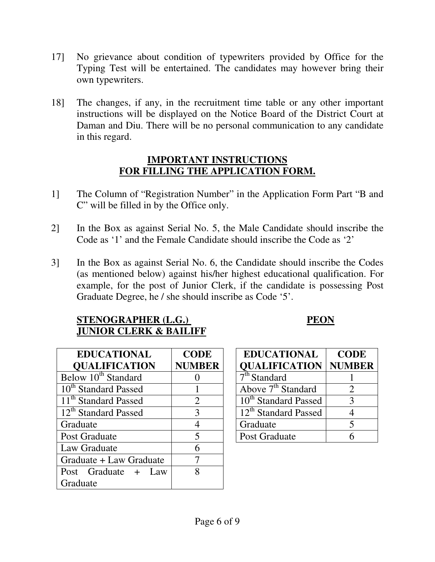- 17] No grievance about condition of typewriters provided by Office for the Typing Test will be entertained. The candidates may however bring their own typewriters.
- 18] The changes, if any, in the recruitment time table or any other important instructions will be displayed on the Notice Board of the District Court at Daman and Diu. There will be no personal communication to any candidate in this regard.

## **IMPORTANT INSTRUCTIONS FOR FILLING THE APPLICATION FORM.**

- 1] The Column of "Registration Number" in the Application Form Part "B and C" will be filled in by the Office only.
- 2] In the Box as against Serial No. 5, the Male Candidate should inscribe the Code as '1' and the Female Candidate should inscribe the Code as '2'
- 3] In the Box as against Serial No. 6, the Candidate should inscribe the Codes (as mentioned below) against his/her highest educational qualification. For example, for the post of Junior Clerk, if the candidate is possessing Post Graduate Degree, he / she should inscribe as Code '5'.

## **STENOGRAPHER (L.G.) PEON JUNIOR CLERK & BAILIFF**

| <b>EDUCATIONAL</b>               | <b>CODE</b>   | <b>EDUCATIONAL</b>               | COL            |
|----------------------------------|---------------|----------------------------------|----------------|
| <b>QUALIFICATION</b>             | <b>NUMBER</b> | <b>QUALIFICATION</b>             | <b>NUMI</b>    |
| Below 10 <sup>th</sup> Standard  |               | 7 <sup>th</sup> Standard         |                |
| 10 <sup>th</sup> Standard Passed |               | Above $7th$ Standard             | $\overline{2}$ |
| 11 <sup>th</sup> Standard Passed | 2             | 10 <sup>th</sup> Standard Passed | 3              |
| 12 <sup>th</sup> Standard Passed | 3             | 12 <sup>th</sup> Standard Passed | $\overline{4}$ |
| Graduate                         |               | Graduate                         | 5              |
| Post Graduate                    | 5             | Post Graduate                    | 6              |
| Law Graduate                     | 6             |                                  |                |
| Graduate + Law Graduate          |               |                                  |                |
| Post Graduate + Law              | 8             |                                  |                |
| Graduate                         |               |                                  |                |

| <b>EDUCATIONAL</b>                  | <b>CODE</b>   |
|-------------------------------------|---------------|
| <b>QUALIFICATION</b>                | <b>NUMBER</b> |
| $\overline{7}^{\text{th}}$ Standard |               |
| Above $7th$ Standard                |               |
| 10 <sup>th</sup> Standard Passed    | $\mathcal{R}$ |
| 12 <sup>th</sup> Standard Passed    |               |
| Graduate                            | 5             |
| Post Graduate                       |               |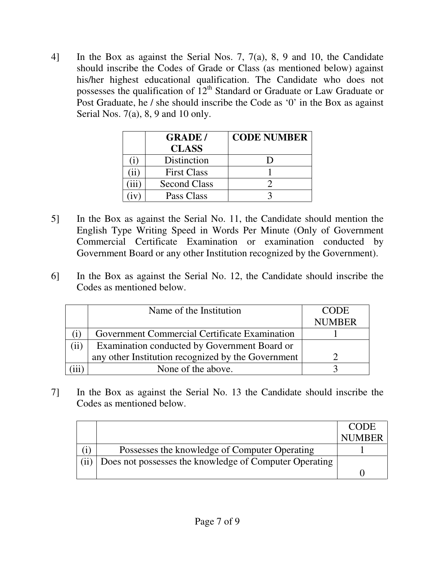4] In the Box as against the Serial Nos. 7, 7(a), 8, 9 and 10, the Candidate should inscribe the Codes of Grade or Class (as mentioned below) against his/her highest educational qualification. The Candidate who does not possesses the qualification of  $12<sup>th</sup>$  Standard or Graduate or Law Graduate or Post Graduate, he / she should inscribe the Code as '0' in the Box as against Serial Nos. 7(a), 8, 9 and 10 only.

| <b>GRADE/</b>       | <b>CODE NUMBER</b> |
|---------------------|--------------------|
| <b>CLASS</b>        |                    |
| Distinction         |                    |
| <b>First Class</b>  |                    |
| <b>Second Class</b> |                    |
| Pass Class          |                    |

- 5] In the Box as against the Serial No. 11, the Candidate should mention the English Type Writing Speed in Words Per Minute (Only of Government Commercial Certificate Examination or examination conducted by Government Board or any other Institution recognized by the Government).
- 6] In the Box as against the Serial No. 12, the Candidate should inscribe the Codes as mentioned below.

|      | Name of the Institution                            | <b>CODE</b>   |
|------|----------------------------------------------------|---------------|
|      |                                                    | <b>NUMBER</b> |
|      | Government Commercial Certificate Examination      |               |
| (ii) | Examination conducted by Government Board or       |               |
|      | any other Institution recognized by the Government |               |
|      | None of the above.                                 |               |

7] In the Box as against the Serial No. 13 the Candidate should inscribe the Codes as mentioned below.

|                                                        | <b>CODE</b> |
|--------------------------------------------------------|-------------|
|                                                        | NUMBER      |
| Possesses the knowledge of Computer Operating          |             |
| Does not possesses the knowledge of Computer Operating |             |
|                                                        |             |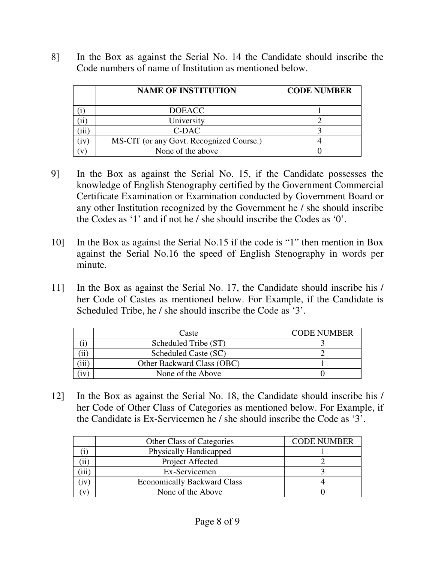8] In the Box as against the Serial No. 14 the Candidate should inscribe the Code numbers of name of Institution as mentioned below.

| <b>NAME OF INSTITUTION</b>               | <b>CODE NUMBER</b> |
|------------------------------------------|--------------------|
| <b>DOEACC</b>                            |                    |
| University                               |                    |
| $C-DAC$                                  |                    |
| MS-CIT (or any Govt. Recognized Course.) |                    |
| None of the above                        |                    |

- 9] In the Box as against the Serial No. 15, if the Candidate possesses the knowledge of English Stenography certified by the Government Commercial Certificate Examination or Examination conducted by Government Board or any other Institution recognized by the Government he / she should inscribe the Codes as '1' and if not he / she should inscribe the Codes as '0'.
- 10] In the Box as against the Serial No.15 if the code is "1" then mention in Box against the Serial No.16 the speed of English Stenography in words per minute.
- 11] In the Box as against the Serial No. 17, the Candidate should inscribe his / her Code of Castes as mentioned below. For Example, if the Candidate is Scheduled Tribe, he / she should inscribe the Code as '3'.

|          | Caste                      | <b>CODE NUMBER</b> |
|----------|----------------------------|--------------------|
|          | Scheduled Tribe (ST)       |                    |
|          | Scheduled Caste (SC)       |                    |
| $\cdots$ | Other Backward Class (OBC) |                    |
| 1 V      | None of the Above          |                    |

12] In the Box as against the Serial No. 18, the Candidate should inscribe his / her Code of Other Class of Categories as mentioned below. For Example, if the Candidate is Ex-Servicemen he / she should inscribe the Code as '3'.

|     | <b>Other Class of Categories</b>   | <b>CODE NUMBER</b> |
|-----|------------------------------------|--------------------|
|     | Physically Handicapped             |                    |
| 11  | Project Affected                   |                    |
| 111 | Ex-Servicemen                      |                    |
| ïv  | <b>Economically Backward Class</b> |                    |
|     | None of the Above                  |                    |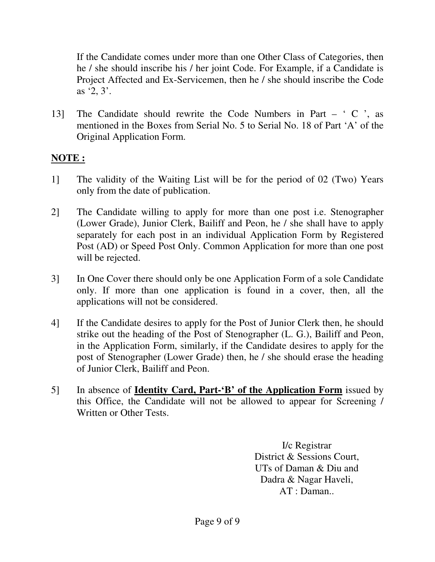If the Candidate comes under more than one Other Class of Categories, then he / she should inscribe his / her joint Code. For Example, if a Candidate is Project Affected and Ex-Servicemen, then he / she should inscribe the Code as '2, 3'.

13] The Candidate should rewrite the Code Numbers in Part – ' C ', as mentioned in the Boxes from Serial No. 5 to Serial No. 18 of Part 'A' of the Original Application Form.

## **NOTE :**

- 1] The validity of the Waiting List will be for the period of 02 (Two) Years only from the date of publication.
- 2] The Candidate willing to apply for more than one post i.e. Stenographer (Lower Grade), Junior Clerk, Bailiff and Peon, he / she shall have to apply separately for each post in an individual Application Form by Registered Post (AD) or Speed Post Only. Common Application for more than one post will be rejected.
- 3] In One Cover there should only be one Application Form of a sole Candidate only. If more than one application is found in a cover, then, all the applications will not be considered.
- 4] If the Candidate desires to apply for the Post of Junior Clerk then, he should strike out the heading of the Post of Stenographer (L. G.), Bailiff and Peon, in the Application Form, similarly, if the Candidate desires to apply for the post of Stenographer (Lower Grade) then, he / she should erase the heading of Junior Clerk, Bailiff and Peon.
- 5] In absence of **Identity Card, Part-'B' of the Application Form** issued by this Office, the Candidate will not be allowed to appear for Screening / Written or Other Tests.

I/c Registrar District & Sessions Court, UTs of Daman & Diu and Dadra & Nagar Haveli, AT : Daman..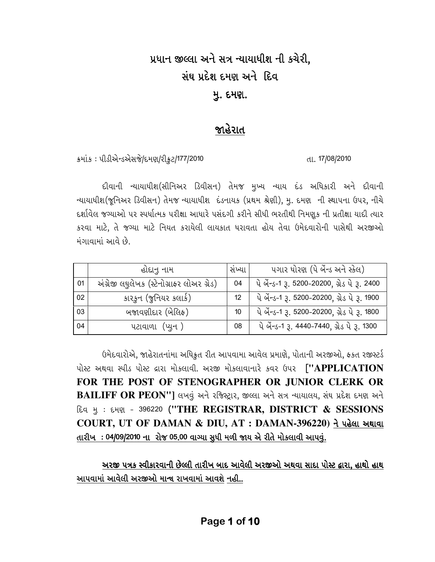# પ્રધાન જીલ્લા અને સત્ર ન્યાયાધીશ ની કચેરી. સંઘ પ્રદેશ દમણ અને દિવ <u>મ</u>ૂ. દમણ.

## જાહેરાત

કમાંક: પીડીએન્ડએસજે/દમણ/રીફ્રટ/177/2010

દીવાની ન્યાયાધીશ(સીનિઅર ડિવીસન) તેમજ મુખ્ય ન્યાય દંડ અધિકારી અને દીવાની ન્યાયાધીશ(જૂનિઅર ડિવીસન) તેમજ ન્યાયાધીશ દંડનાયક (પ્રથમ શ્રેણી), મુ. દમણ ની સ્થાપના ઉપર, નીચે દર્શાવેલ જગ્યાઓ પર સ્પર્ધાત્મક પરીક્ષા આધારે પસંદગી કરીને સીધી ભરતીથી નિમણૂક ની પ્રતીક્ષા યાદી ત્યાર કરવા માટે, તે જગ્યા માટે નિયત કરાયેલી લાયકાત ધરાવતા હોય તેવા ઉમેદવારોની પાસેથી અરજીઓ મંગાવામાં આવે છે.

|    | હોદાનુ નામ                                 | સખ્યા             | ૫ગાર ધોરણ (પે બેંન્ડ અને સ્કેલ)               |
|----|--------------------------------------------|-------------------|-----------------------------------------------|
| 01 | અંગ્રેજી લઘુલેખક (સ્ટેનોગ્રાફર લોઅર ગ્રેડ) | 04                | પે બેંન્ડ-1 3. 5200-20200, ગ્રેડ પે 3. 2400   |
| 02 | કારકુન (જુનિયર કલાર્ક)                     | $12 \overline{ }$ | પે બેંન્ડ-1 રૂ. 5200-20200, ગ્રેડ પે રૂ. 1900 |
| 03 | બજાવણીદાર (બેલિફ)                          | 10 <sup>°</sup>   | પે બેંન્ડ-1 રૂ. 5200-20200, ગ્રેડ પે રૂ. 1800 |
| 04 | પટાવાળા (પ્યુન)                            | 08                | પે બેંન્ડ-1 રૂ. 4440-7440, ગ્રેડ પે રૂ. 1300  |

ઉમેદવારોએ, જાહેરાતનાંમા અધિકૃત રીત આપવામા આવેલ પ્રમાણે, પોતાની અરજીઓ, ફકત રજીસ્ટર્ડ પોસ્ટ અથવા સ્પીડ પોસ્ટ દ્રારા મોકલાવી. અરજી મોકલાવાનારે કવર ઉપર ["APPLICATION FOR THE POST OF STENOGRAPHER OR JUNIOR CLERK OR BAILIFF OR PEON"] લખવું અને રજિસ્ટ્રાર, જીલ્લા અને સત્ર ન્યાયાલય, સંઘ પ્રદેશ દમણ અને દિવ મુ: દમણ - 396220 ("THE REGISTRAR, DISTRICT & SESSIONS COURT, UT OF DAMAN & DIU, AT : DAMAN-396220) ને પહેલા અથાવા તારીખ: 04/09/2010 ના રોજ 05.00 વાગ્યા સુધી મળી જાય એ રીતે મોકલાવી આપવું.

અરજી ૫ત્રક સ્વીકારવાની છેલ્લી તારીખ બાદ આવેલી અરજીઓ અથવા સાદા પોસ્ટ દ્વારા. હાથો હાથ આપવામાં આવેલી અરજીઓ માન્ય રાખવામાં આવશે નહી..

dl. 17/08/2010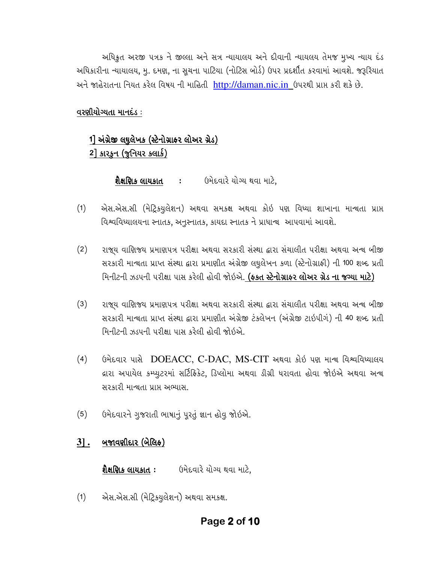અધિકૃત અરજી ૫ત્રક ને જીલ્લા અને સત્ર ન્યાયાલય અને દીવાની ન્યાયલય તેમજ મુખ્ય ન્યાય દંડ અધિકારીના ન્યાયાલય, મુ. દમણ, ના સુચના પાટિયા (નોટિસ બોર્ડ) ઉપર પ્રદર્શીત કરવામાં આવશે. જરૂરિયાત અને જાહેરાતના નિયત કરેલ વિષય ની માહિતી http://daman.nic.in ઉપરથી પ્રાપ્ત કરી શકે છે.

## વરણીયોગ્યતા માનદંડ:

## 1] અંગ્રેજી લઘુલેખક (સ્ટેનોગ્રાફર લોઅર ગ્રેડ)  $2$ ] કારકન (જૂનિયર ક્લાર્ક)

**શૈક્ષણિક લાયકાત ઃ** ઉમેદવારે યોગ્ય થવા માટે.

- એસ.એસ.સી (મેટ્રિકયુલેશન) અથવા સમકક્ષ અથવા કોઇ પણ વિધ્યા શાખાના માન્ચતા પ્રાપ્ત  $(1)$ વિશ્વવિધ્યાલયના સ્નાતક, અનુસ્નાતક, કાયદા સ્નાતક ને પ્રાધાન્ય આપવામાં આવશે.
- $(2)$ રાજ્ય વાણિજ્ય પ્રમાણપત્ર પરીક્ષા અથવા સરકારી સંસ્થા દ્વારા સંચાલીત પરીક્ષા અથવા અન્ય બીજી સરકારી માન્ચતા પ્રાપ્ત સંસ્થા દ્વારા પ્રમાણીત અંગ્રેજી લઘુલેખન કળા (સ્ટેનોગ્રાફી) ની 100 શબ્દ પ્રતી મિનીટની ઝડપની પરીક્ષા પાસ કરેલી હોવી જોઇએ. (ફકત સ્ટેનોગ્રાફર લોઅર ગ્રેડ ના જગ્યા માટે)
- $(3)$ રાજય વાણિજય પ્રમાણપત્ર પરીક્ષા અથવા સરકારી સંસ્થા દ્વારા સંચાલીત પરીક્ષા અથવા અન્ય બીજી સરકારી માન્ચતા પ્રાપ્ત સંસ્થા દ્વારા પ્રમાણીત અંગ્રેજી ટંકલેખન (અંગ્રેજી ટાઇપીગં) ની 40 શબ્દ પ્રતી મિનીટની ઝડપની પરીક્ષા પાસ કરેલી હોવી જોઈએ.
- $(4)$ ઉમેદવાર પાસે DOEACC, C-DAC, MS-CIT અથવા કોઇ પણ માન્ય વિશ્વવિધ્યાલય દ્રારા અપાયેલ કમ્પ્યુટરમાં સર્ટિફિકેટ, ડિપ્લોમા અથવા ડીગ્રી ધરાવતા હોવા જોઇએ અથવા અન્ય સરકારી માન્ચતા પ્રાપ્ત અભ્યાસ.
- ઉમેદવારને ગુજરાતી ભાષાનું પૂરતું જ્ઞાન હોવુ જોઇએ.  $(5)$

### બજાવણીદાર (બેલિક)  $3$ .

ઉમેદવારે યોગ્ય થવા માટે. શૈક્ષણિક લાયકાત:

એસ.એસ.સી (મેટ્રિકયુલેશન) અથવા સમકક્ષ.  $(1)$ 

## Page 2 of 10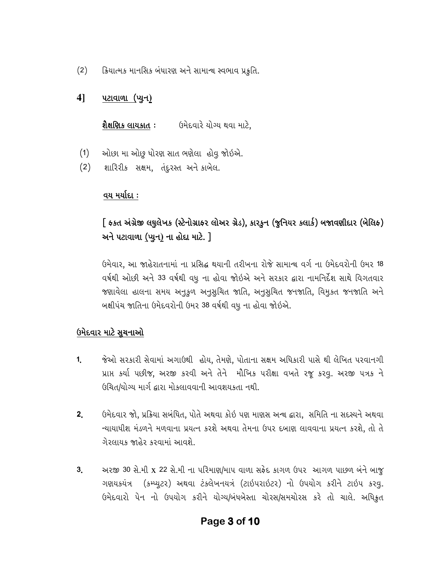ક્રિયાત્મક માનસિક બંધારણ અને સામાન્ય સ્વભાવ પ્રકુતિ.  $(2)$ 

#### 41 પટાવાળા (પ્યુન<u>)</u>

શૈક્ષણિક લાયકાત : ઉમેદવારે યોગ્ય થવા માટે,

- ઓછા મા ઓછુ ધોરણ સાત ભણેલા હોવુ જોઇએ.  $(1)$
- શારિરીક સક્ષમ, તંદરસ્ત અને કાબેલ.  $(2)$

### વય મર્યાદા :

## [ ફકત અંગ્રેજી લઘુલેખક (સ્ટેનોગ્રાફર લોઅર ગ્રેડ), કારકૂન (જુનિયર કલાર્ક) બજાવણીદાર (બેલિફ) અને પટાવાળા (પ્યુન) ના હોદા માટે. ]

ઉમેવાર, આ જાહેરાતનામાં ના પ્રસિદ્ધ થયાની તરીખના રોજે સામાન્ચ વર્ગ ના ઉમેદવરોની ઉમર 18 વર્ષથી ઓછી અને 33 વર્ષથી વધુ ના હોવા જોઇએ અને સરકાર દ્વારા નામનિર્દેશ સાથે વિગતવાર જશાવેલા હાલના સમય અનુકૂળ અનુસુચિત જાતિ, અનુસુચિત જનજાતિ, વિમુકત જનજાતિ અને બક્ષીપંચ જાતિના ઉમેદવરોની ઉમર 38 વર્ષથી વધુ ના હોવા જોઇએ.

## ઉમેદવાર માટે સચનાઓ

- $1<sub>1</sub>$ જેઓ સરકારી સેવામાં અગાઉથી હોય, તેમણે, પોતાના સક્ષમ અધિકારી પાસે થી લેખિત પરવાનગી પ્રાપ્ત કર્યા પછીજ, અરજી કરવી અને તેને મૌખિક પરીક્ષા વખતે રજૂ કરવુ. અરજી પત્રક ને ઉચિત/યોગ્ય માર્ગ દ્વારા મોકલાવવાની આવશયકતા નથી.
- ઉમેદવાર જો, પ્રક્રિયા સબંધિત, પોતે અથવા કોઇ પણ માણસ અન્ય દ્વારા, સમિતિ ના સદસ્યને અથવા  $2<sub>1</sub>$ ન્યાયાધીશ મંડળને મળવાના પ્રયત્ન કરશે અથવા તેમના ઉપર દબાણ લાવવાના પ્રયત્ન કરશે, તો તે ગેરલાયક જાહેર કરવામાં આવશે.
- અરજી 30 સે.મી x 22 સે.મી ના પરિમાણ/માપ વાળા સફેદ કાગળ ઉપર આગળ પાછળ બંને બાજ  $3<sub>1</sub>$ ગણયકયંત્ર (કમ્પ્યુટર) અથવા ટંકલેખનયત્રં (ટાઇપરાઇટર) નો ઉપયોગ કરીને ટાઇપ કરવુ. ઉમેદવારો પેન નો ઉપયોગ કરીને યોગ્ય/બંધબેસ્તા ચોરસ/સમચોરસ કરે તો ચાલે. અધિક્રત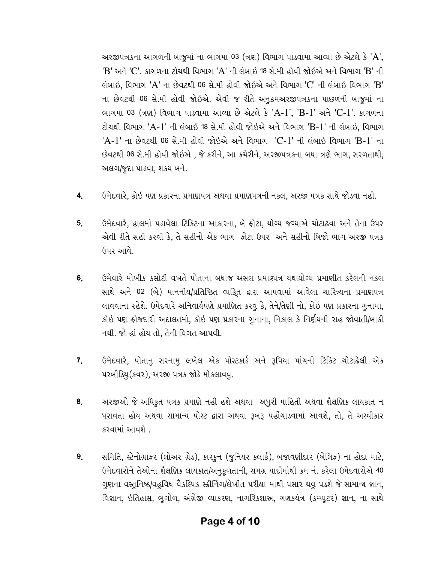અરજીપત્રકના આગળની બાજુમાં ના ભાગમા 03 (ત્રણ) વિભાગ પાડવામા આવ્યા છે એટલે કે 'A',  $'B'$  અને 'C'. કાગળના ટોચથી વિભાગ 'A' ની લંબાઇ 18 સે.મી હોવી જોઇએ અને વિભાગ 'B' ની લંબાઈ, વિભાગ 'A' ના છેવટથી 06 સે.મી હોવી જોઈએ અને વિભાગ 'C' ની લંબાઈ વિભાગ 'B' ના છેવટથી 06 સે.મી હોવી જોઇએ. એવી જ રીતે અનૂકમઅરજીપત્રકના પાછળની બાજુમાં ના ભાગમા 03 (ત્રણ) વિભાગ પાડવામા આવ્યા છે એટલે કે 'A-1', 'B-1' અને 'C-1'. કાગળના ટોચથી વિભાગ 'A-1' ની લંબાઇ 18 સે.મી હોવી જોઇએ અને વિભાગ 'B-1' ની લંબાઇ. વિભાગ 'A-1' ના છેવટથી 06 સે.મી હોવી જોઇએ અને વિભાગ 'C-1' ની લંબાઇ વિભાગ 'B-1' ના છેવટથી 06 સે.મી હોવી જોઇએ, જે કરીને, આ કચેરીને, અરજીપત્રકના બધા ત્રણે ભાગ, સરળતાથી, અલગ/જદા પાડવા, શકય બને.

- ઉમેદવારે, કોઇ પણ પ્રકારના પ્રમાણપત્ર અથવા પ્રમાણપત્રની નકલ, અરજી પત્રક સાથે જોડવા નહી.  $4<sub>1</sub>$
- ઉમેદવારે, હાલમાં પડાવેલા ટિકિટના આકારના, બે ફોટા, યોગ્ય જગ્યાએ ચોટાઢવા અને તેના ઉપર  $5<sub>1</sub>$ એવી રીતે સહી કરવી કે, તે સહીનો એક ભાગ ફોટા ઉપર અને સહીનો બિજો ભાગ અરજી પત્રક (૩૫૨ આવે.
- ઉમેવારે મોખીક કસોટી વખતે પોતાના બધાજ અસલ પ્રમાણ્પત્ર યથાયોગ્ય પ્રમાણીત કરેલની નકલ  $6.$ સાથે અને 02 (બે) માનનીય/પ્રતિષ્ઠિત વ્યકિત દ્વારા આપવામાં આવેલા ચારિત્ર્યના પ્રમાણપત્ર લાવવાના રહેશે. ઉમેદવારે અનિવાર્યપણે પ્રમાણિત કરવુ કે, તેને/તેણી નો, કોઇ પણ પ્રકારના ગુનામા, કોઇ પણ કોજદારી અદાલતમાં, કોઇ પણ પ્રકારના ગુનાના, નિકાલ કે નિર્ણયની રાહ જોવાતી/બાકી નથી. જો હાં હોય તો, તેની વિગત આપવી.
- ઉમેદવારે, પોતાનૂ સરનામૂ લખેલ એક પોસ્ટકાર્ડ અને રૂપિયા પાંચની ટિકિટ ચોટાઢેલી એક  $7<sub>1</sub>$ ૫રબીડિયૂ (કવર), અરજી ૫ત્રક જોડે મોકલાવવૂ.
- અરજીઓ જે અધિકૃત ૫ત્રક પ્રમાણે નહી હશે અથવા અધુરી માહિતી અથવા શૈક્ષણિક લાયકાત ન 8. ધરાવતા હોય અથવા સામાન્ય પોસ્ટ દ્વારા અથવા રૂબરૂ પહોંચાડવામાં આવશે, તો, તે અસ્વીકાર કરવામાં આવશે.
- સમિતિ, સ્ટેનોગ્રાફર (લોઅર ગ્રેડ), કારકુન (જુનિયર કલાર્ક), બજાવણીદાર (બેલિફ) ના હોદ્દા માટે, 9. ઉમેદવારોને તેઓના શૈક્ષણિક લાયકાત/અનુકૂળતાની, સમગ્ર યાદીમાંથી ક્રમ નં. કરેલા ઉમેદવારોએ 40 ગુણના વસ્તુનિષ્ઠ/વહુવિધ વૈકલ્પિક સ્ક્રીનિંગ/લેખીત પરીક્ષા માથી પસાર થવુ પડશે જે સામાન્ચ જ્ઞાન, વિજ્ઞાન, ઇતિહાસ, ભુગોળ, અંગ્રેજી વ્યાકરણ, નાગરિકશાસ્ત્ર, ગણકયંત્ર (કમ્પ્યુટર) જ્ઞાન, ના સાથે

## Page 4 of 10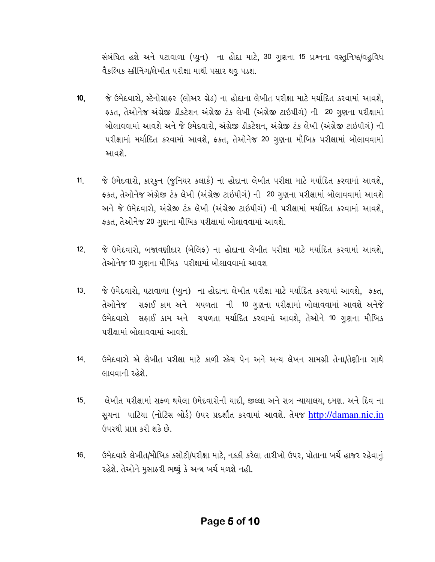સંબંધિત હશે અને પટાવાળા (પ્યુન) ના હોદા માટે, 30 ગુણના 15 પ્રશ્નના વસ્તુનિષ્ઠ/વહુવિધ વૈકલ્પિક સ્કીનિંગ/લેખીત પરીક્ષા માથી પસાર થવુ પડશ.

- જે ઉમેદવારો, સ્ટેનોગ્રાફર (લોઅર ગ્રેડ) ના હોદાના લેખીત પરીક્ષા માટે મર્યાદિત કરવામાં આવશે,  $10<sub>1</sub>$ ફકત, તેઓનેજ અંગ્રેજી ડીકટેશન અંગ્રેજી ટંક લેખી (અંગ્રેજી ટાઇપીગં) ની 20 ગુણના પરીક્ષામાં બોલાવવામાં આવશે અને જે ઉમેદવારો, અંગ્રેજી ડીકટેશન, અંગ્રેજી ટંક લેખી (અંગ્રેજી ટાઇપીગં) ની પરીક્ષામાં મર્યાદિત કરવામાં આવશે, ફકત, તેઓનેજ 20 ગુણના મૌખિક પરીક્ષામાં બોલાવવામાં આવશે.
- જે ઉમેદવારો, કારકૂન (જૂનિયર કલાર્ક) ના હોદાના લેખીત પરીક્ષા માટે મર્યાદિત કરવામાં આવશે,  $11<sub>1</sub>$ ફકત, તેઓનેજ અંગ્રેજી ટંક લેખી (અંગ્રેજી ટાઇપીગં) ની 20 ગુણના પરીક્ષામાં બોલાવવામાં આવશે અને જે ઉમેદવારો, અંગ્રેજી ટંક લેખી (અંગ્રેજી ટાઇપીગં) ની પરીક્ષામાં મર્યાદિત કરવામાં આવશે, ફકત, તેઓનેજ 20 ગુણના મૌખિક પરીક્ષામાં બોલાવવામાં આવશે.
- જે ઉમેદવારો, બજાવણીદાર (બેલિફ) ના હોદાના લેખીત પરીક્ષા માટે મર્યાદિત કરવામાં આવશે,  $12.$ તેઓનેજ 10 ગુણના મૌખિક પરીક્ષામાં બોલાવવામાં આવશ
- જે ઉમેદવારો, પટાવાળા (પ્યુન) ના હોદાના લેખીત પરીક્ષા માટે મર્યાદિત કરવામાં આવશે, ફકત,  $13<sub>1</sub>$ તેઓનેજ સફાઈ કામ અને ચપળતા ની 10 ગુણના પરીક્ષામાં બોલાવવામાં આવશે અનેજે ઉમેદવારો સફાઈ કામ અને ચપળતા મર્યાદિત કરવામાં આવશે, તેઓને 10 ગુણના મૌખિક પરીક્ષામાં બોલાવવામાં આવશે.
- $14<sub>1</sub>$ ઉમેદવારો એ લેખીત પરીક્ષા માટે કાળી રકેચ પેન અને અન્ય લેખન સામગ્રી તેના/તેણીના સાથે લાવવાની રહેશે.
- લેખીત પરીક્ષામાં સફળ થયેલા ઉમેદવારોની યાદી, જીલ્લા અને સત્ર ન્યાયાલય, દમણ. અને દિવ ના  $15<sub>1</sub>$ સચના પાટિયા (નોટિસ બોર્ડ) ઉપર પ્રદર્શીત કરવામાં આવશે. તેમજ http://daman.nic.in ઉપરથી પ્રાપ્ત કરી શકે છે.
- ઉમેદવારે લેખીત/મૌખિક કસોટી/પરીક્ષા માટે, નકકી કરેલા તારીખો ઉપર, પોતાના ખર્ચે હાજર રહેવાનું  $16<sub>1</sub>$ રહેશે. તેઓને મુસાફરી ભથ્થું કે અન્ય ખર્ચ મળશે નહી.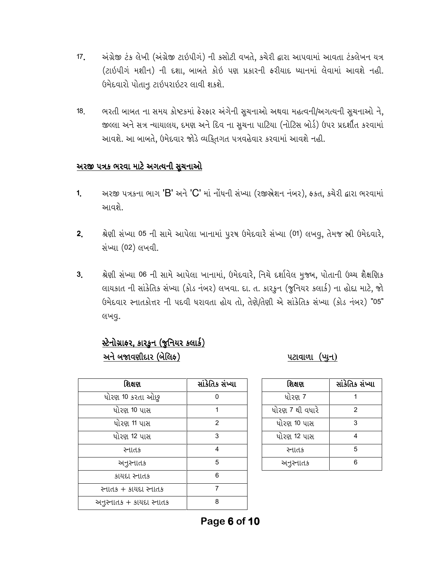- અંગ્રેજી ટંક લેખી (અંગ્રેજી ટાઇપીગં) ની કસોટી વખતે, કચેરી દ્વારા આપવામાં આવતા ટંકલેખન યત્ર  $17<sub>1</sub>$ (ટાઇપીગં મશીન) ની દશા, બાબતે કોઇ પણ પ્રકારની ફરીયાદ ધ્યાનમાં લેવામાં આવશે નહી. ઉમેદવારો પોતાનૂ ટાઇપરાઇટર લાવી શકશે.
- ભરતી બાબત ના સમય કોષ્ટકમાં ફેરફાર અંગેની સૂચનાઓ અથવા મહત્વની/અગત્યની સૂચનાઓ ને,  $18<sub>1</sub>$ જીલ્લા અને સત્ર ન્યાયાલય, દમણ અને દિવ ના સૂચના પાટિયા (નોટિસ બોર્ડ) ઉપર પ્રદર્શીત કરવામાં આવશે. આ બાબતે, ઉમેદવાર જોડે વ્યકિતગત પત્રવહેવાર કરવામાં આવશે નહી.

### <u>અરજી પત્રક ભરવા માટે અગત્યની સૂચનાઓ</u>

- અરજી પત્રકના ભાગ 'B' અને 'C' માં નોંધની સંખ્યા (રજીજ્ઞેશન નંબર), ફકત, કચેરી દ્વારા ભરવામાં  $1<sub>1</sub>$ આવશે.
- શ્રેણી સંખ્યા 05 ની સામે આપેલા ખાનામાં પૂરષ ઉમેદવારે સંખ્યા (01) લખવૂ, તેમજ સ્રી ઉમેદવારે,  $2<sub>1</sub>$ સંખ્યા (02) લખવી.
- શ્રેણી સંખ્યા 06 ની સામે આપેલા ખાનામાં, ઉમેદવારે, નિચે દર્શાવેલ મુજબ, પોતાની ઉચ્ચ શૈક્ષણિક  $3<sub>l</sub>$ લાયકાત ની સાંકેતિક સંખ્યા (કોડ નંબર) લખવા. દા. ત. કારકૂન (જૂનિયર કલાર્ક) ના હોદ્દા માટે, જો ઉમેદવાર સ્નાતકોત્તર ની પદવી ધરાવતા હોય તો, તેણે/તેણી એ સાંકેતિક સંખ્યા (કોડ નંબર) "05" લખવુ.

## સ્ટેનોગ્રાકર, કારફન (જુનિયર કલાર્ક) અને બજાવણીદાર (બેલિક)

૫ટાવાળા (પ્યુન)

| શિક્ષણ                   | સાંકેતિક સંખ્યા |
|--------------------------|-----------------|
| ધોરણ 10 કરતા ઓછુ         | 0               |
| ધોરણ 10 પાસ              | 1               |
| ધોરણ 11 પાસ              | 2               |
| ધોરણ 12 પાસ              | 3               |
| સ્નાતક                   | 4               |
| અનુસ્નાતક                | 5               |
| કાયદા સ્નાતક             | 6               |
| સ્નાતક + કાયદા સ્નાતક    | 7               |
| અનુસ્નાતક + કાયદા સ્નાતક | 8               |

| શિક્ષણ          | સાંકેતિક સંખ્યા |
|-----------------|-----------------|
| ધોરણ 7          |                 |
| ધોરણ 7 થી વધારે | 2               |
| ધોરણ 10 પાસ     | 3               |
| ધોરણ 12 પાસ     |                 |
| સ્નાતક          | 5               |
| અનુસ્નાતક       | հ               |

Page 6 of 10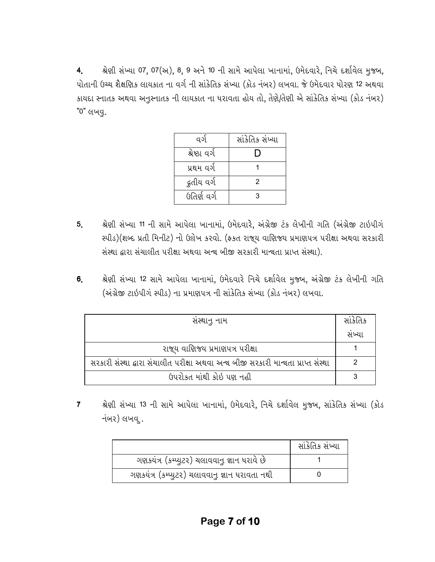શ્રેણી સંખ્યા 07, 07(અ), 8, 9 અને 10 ની સામે આપેલા ખાનામાં, ઉમેદવારે, નિચે દર્શાવેલ મુજબ, 4. પોતાની ઉચ્ચ શૈક્ષણિક લાયકાત ના વર્ગ ની સાંકેતિક સંખ્યા (કોડ નંબર) લખવા. જે ઉમેદવાર ધોરણ 12 અથવા કાયદા સ્નાતક અથવા અનુસ્નાતક ની લાયકાત ના ધરાવતા હોય તો, તેણે/તેણી એ સાંકેતિક સંખ્યા (કોડ નંબર) "0" લખવુ.

| વર્ગ          | સાંકેતિક સંખ્યા |
|---------------|-----------------|
| શ્રેષ્ઠા વર્ગ |                 |
| પ્રથમ વર્ગ    |                 |
| ્દ્રતીય વર્ગ  | 2               |
| ઉતિર્ણ વર્ગ   | વ               |

- શ્રેણી સંખ્યા 11 ની સામે આપેલા ખાનામાં, ઉમેદવારે, અંગ્રેજી ટંક લેખીની ગતિ (અંગ્રેજી ટાઇપીગં  $5<sub>1</sub>$ સ્પીડ)(શબ્દ પ્રતી મિનીટ) નો ઉક્ષેખ કરવો. (ફકત રાજ્ય વાણિજ્ય પ્રમાણપત્ર પરીક્ષા અથવા સરકારી સંસ્થા દ્વારા સંચાલીત પરીક્ષા અથવા અન્ય બીજી સરકારી માન્યતા પ્રાપ્ત સંસ્થા).
- શ્રેણી સંખ્યા 12 સામે આપેલા ખાનામાં, ઉમેદવારે નિચે દર્શાવેલ મુજબ, અંગ્રેજી ટંક લેખીની ગતિ 6. (અંગ્રેજી ટાઇપીગ સ્પીડ) ના પ્રમાણપત્ર ની સાંકેતિક સંખ્યા (કોડ નંબર) લખવા.

| સસ્થાનુ નામ                                                                       | સાંકેતિક |
|-----------------------------------------------------------------------------------|----------|
|                                                                                   | સખ્યા    |
| રાજ્ય વાણિજ્ય પ્રમાણપત્ર પરીક્ષા                                                  |          |
| સરકારી સંસ્થા દ્વારા સંચાલીત પરીક્ષા અથવા અન્ય બીજી સરકારી માન્યતા પ્રાપ્ત સંસ્થા |          |
| ઉપરોકત માંથી કોઇ પણ નહી                                                           |          |

શ્રેણી સંખ્યા 13 ની સામે આપેલા ખાનામાં, ઉમેદવારે, નિચે દર્શાવેલ મુજબ, સાંકેતિક સંખ્યા (કોડ  $\overline{7}$ નંબર) લખવ.

|                                                | સાંકેતિક સંખ્યા |
|------------------------------------------------|-----------------|
| ગણકયંત્ર (કમ્પ્યુટર) ચલાવવાનુ જ્ઞાન ધરાવે છે   |                 |
| ગણકયંત્ર (કમ્પ્યુટર) ચલાવવાનુ જ્ઞાન ધરાવતા નથી |                 |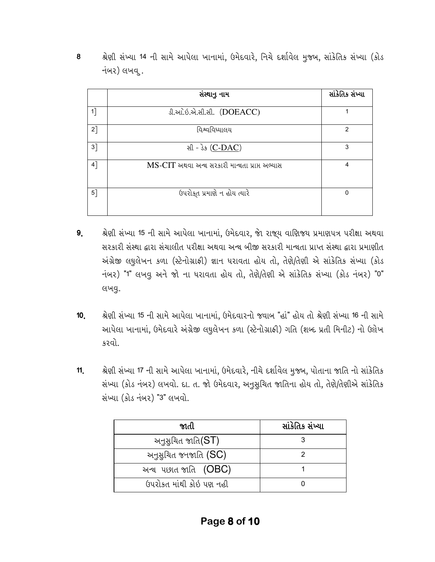|       | સંસ્થાનુ નામ                                   | સાંકેતિક સંખ્યા |
|-------|------------------------------------------------|-----------------|
| $1$ ] | ડી.આે. ઇ.એ.સી.સી. (DOEACC)                     |                 |
| 2]    | વિશ્વવિધ્યાલય                                  | $\overline{2}$  |
| $3$ ] | સી - ડેક (C-DAC)                               | 3               |
| $4$ ] | MS-CIT અથવા અન્ય સરકારી માન્યતા પ્રાપ્ત અભ્યાસ | 4               |
| $5$ ] | ઉપરોક્ત પ્રમાણે ન હોય ત્યારે                   | $\mathbf{0}$    |

8 શ્રેણી સંખ્યા 14 ની સામે આપેલા ખાનામાં, ઉમેદવારે, નિચે દર્શાવેલ મુજબ, સાંકેતિક સંખ્યા (કોડ નંબર) લખવ.

- શ્રેણી સંખ્યા 15 ની સામે આપેલા ખાનામાં, ઉમેદવાર, જાે રાજ્ય વાણિજ્ય પ્રમાણપત્ર પરીક્ષા અથવા 9. સરકારી સંસ્થા દ્વારા સંચાલીત પરીક્ષા અથવા અન્ય બીજી સરકારી માન્યતા પ્રાપ્ત સંસ્થા દ્વારા પ્રમાણીત અંગ્રેજી લઘુલેખન કળા (સ્ટેનોગ્રાફી) જ્ઞાન ધરાવતા હોય તો, તેણે/તેણી એ સાંકેતિક સંખ્યા (કોડ નંબર) "1" લખવ અને જો ના ધરાવતા હોય તો, તેણે/તેણી એ સાંકેતિક સંખ્યા (કોડ નંબર) "0" લખવુ.
- શ્રેણી સંખ્યા 15 ની સામે આપેલા ખાનામાં, ઉમેદવારનો જવાબ "હાં" હોય તો શ્રેણી સંખ્યા 16 ની સામે  $10<sub>l</sub>$ આપેલા ખાનામાં, ઉમેદવારે અંગ્રેજી લઘુલેખન કળા (સ્ટેનોગ્રાફી) ગતિ (શબ્દ પ્રતી મિનીટ) નો ઉક્ષેખ કરવો.
- શ્રેણી સંખ્યા 17 ની સામે આપેલા ખાનામાં, ઉમેદવારે, નીચે દર્શાવેલ મુજબ, પોતાના જાતિ નો સાંકેતિક  $11.$ સંખ્યા (કોડ નંબર) લખવો. દા. ત. જો ઉમેદવાર, અનુસૂચિત જાતિના હોય તો, તેણે/તેણીએ સાંકેતિક સંખ્યા (કોડ નંબર) "3" લખવો.

| જાતી                         | સાંકેતિક સંખ્યા |
|------------------------------|-----------------|
| અનુસુચિત જાતિ $(ST)$         |                 |
| અનુસુચિત જનજાતિ (SC)         |                 |
| અન્ય પછાત <i>જા</i> તિ (OBC) |                 |
| ઉપરોકત માંથી કોઇ પણ નહી      |                 |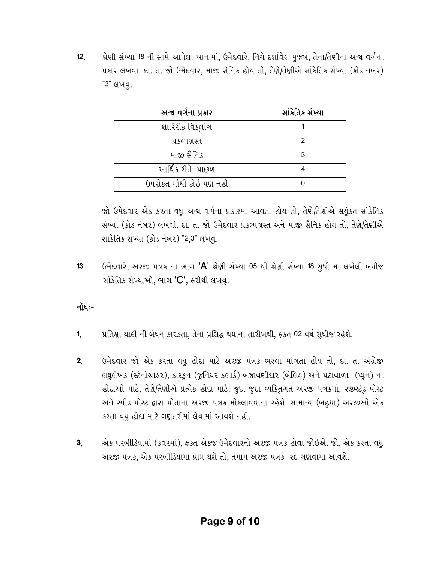$12<sub>1</sub>$ શ્રેણી સંખ્યા 18 ની સામે આપેલા ખાનામાં, ઉમેદવારે, નિચે દર્શાવેલ મુજબ, તેના/તેણીના અન્ય વર્ગના પ્રકાર લખવા. દા. ત. જો ઉમેદવાર, માજી સૈનિક હોય તો, તેણે/તેણીએ સાંકેતિક સંખ્યા (કોડ નંબર) "3" લખવ.

| અન્થ વર્ગના પ્રકાર      | સાંકેતિક સંખ્યા |
|-------------------------|-----------------|
| શારિરીક વિકલાંગ         |                 |
| પ્રકલ્પગ્રસ્ત           |                 |
| માજી સૈનિક              |                 |
| આર્થિક રીતે  પાછળ       |                 |
| ઉપરોકત માંથી કોઇ પણ નહી |                 |

જો ઉમેદવાર એક કરતા વધુ અન્ય વર્ગના પ્રકારમા આવતા હોય તો, તેણે/તેણીએ સયુંકત સાંકેતિક સંખ્યા (કોડ નંબર) લખવી. દા. ત. જો ઉમેદવાર પ્રકલ્પગ્રસ્ત અને માજી સૈનિક હોય તો, તેણે/તેણીએ સાંકેતિક સંખ્યા (કોડ નંબર) "2,3" લખવ.

ઉમેદવારે, અરજી પત્રક ના ભાગ 'A' શ્રેણી સંખ્યા 05 થી શ્રેણી સંખ્યા 18 સુધી મા લખેલી બધીજ  $13<sup>°</sup>$ સાંકેતિક સંખ્યાઓ, ભાગ 'C', કરીથી લખવુ.

## <u> નોંધઃ-</u>

- પ્રતિક્ષા યાદી ની બંધન કારકતા, તેના પ્રસિદ્ધ થયાના તારીખથી, ફકત 02 વર્ષ સુધીજ રહેશે. 1.
- ઉમેદવાર જો એક કરતા વધુ હોદા માટે અરજી પત્રક ભરવા માંગતા હોય તો, દા. ત. અંગ્રેજી  $2<sub>1</sub>$ લઘુલેખક (સ્ટેનોગ્રાફર), કારકૂન (જૂનિયર કલાર્ક) બજાવણીદાર (બેલિફ) અને પટાવાળા (પ્યુન) ના હોદાઓ માટે, તેણે/તેણીએ પ્રત્યેક હોદા માટે, જુદા જુદા વ્યકિતગત અરજી પત્રકમાં, રજીર્સ્ટુડ પોસ્ટ અને સ્પીડ પોસ્ટ દ્વારા પોતાના અરજી પત્રક મોકલાવવાના રહેશે. સામાન્ય (બહુધા) અરજીઓ એક કરતા વધુ હોદા માટે ગણતરીમાં લેવામાં આવશે નહી.
- એક પરબીડિયામાં (કવરમાં), ફકત એકજ ઉમેદવારનો અરજી પત્રક હોવા જોઇએ. જો, એક કરતા વધુ  $3<sub>1</sub>$ અરજી પત્રક, એક પરબીડિયામાં પ્રાપ્ત થશે તો, તમામ અરજી પત્રક ૨૬ ગણવામા આવશે.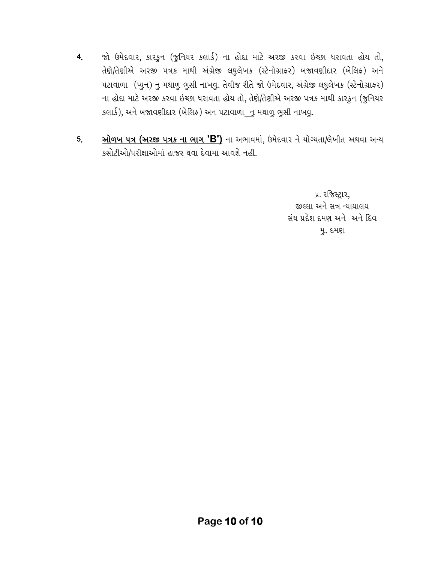- જો ઉમેદવાર, કારકુન (જુનિયર કલાર્ક) ના હોદા માટે અરજી કરવા ઇચ્છા ધરાવતા હોય તો,  $4<sub>1</sub>$ તેણે/તેણીએ અરજી ૫ત્રક માથી અંગ્રેજી લઘુલેખક (સ્ટેનોગ્રાફર) બજાવણીદાર (બેલિફ) અને ૫ટાવાળા (પ્યુન) નુ મથાળુ ભુસી નાખવુ. તેવીજ રીતે જો ઉમેદવાર, અંગ્રેજી લઘુલેખક (સ્ટેનોગ્રાફર) ના હોદા માટે અરજી કરવા ઇચ્છા ધરાવતા હોય તો, તેણે/તેણીએ અરજી પત્રક માથી કારફુન (જુનિયર કલાર્ક), અને બજાવણીદાર (બેલિક) અન પટાવાળા\_નુ મથાળુ ભુસી નાખવુ.
- **ઓળખ ૫ત્ર (અરજી ૫ત્રક ના ભાગ 'B')** ના અભાવમાં, ઉમેદવાર ને યોગ્યતા/લેખીત અથવા અન્ય  $5<sub>1</sub>$ કસોટીઓ/પરીક્ષાઓમાં હાજર થવા દેવામા આવશે નહી.

પ્ર. રજિસ્ટ્રાર, જીલ્લા અને સત્ર ન્યાયાલય સંઘ પ્રદેશ દમણ અને અને દિવ મુ. દમણ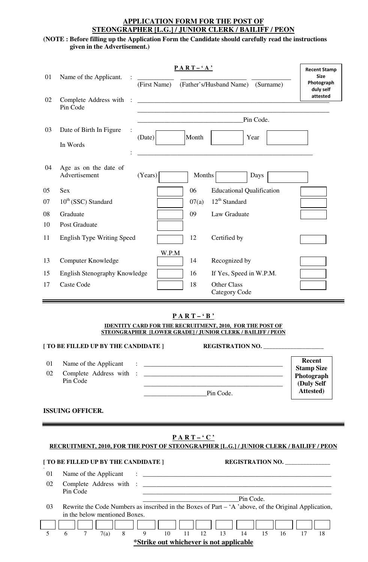### **APPLICATION FORM FOR THE POST OF STEONGRAPHER [L.G.] / JUNIOR CLERK / BAILIFF / PEON**

### **(NOTE : Before filling up the Application Form the Candidate should carefully read the instructions given in the Advertisement.)**

| 01 | Name of the Applicant.                 | (First Name)                                                                                                                                                                                                                    | $PART - 'A'$  | (Father's/Husband Name)<br>(Surname)                                                                                                              | <b>Recent Stamp</b><br><b>Size</b><br>Photograph<br>duly self<br>attested |
|----|----------------------------------------|---------------------------------------------------------------------------------------------------------------------------------------------------------------------------------------------------------------------------------|---------------|---------------------------------------------------------------------------------------------------------------------------------------------------|---------------------------------------------------------------------------|
| 02 | Complete Address with<br>Pin Code      |                                                                                                                                                                                                                                 |               |                                                                                                                                                   |                                                                           |
|    |                                        |                                                                                                                                                                                                                                 |               | Pin Code.                                                                                                                                         |                                                                           |
| 03 | Date of Birth In Figure<br>In Words    | (Date)                                                                                                                                                                                                                          | Month         | Year                                                                                                                                              |                                                                           |
| 04 | Age as on the date of<br>Advertisement | (Years)                                                                                                                                                                                                                         | <b>Months</b> | Days                                                                                                                                              |                                                                           |
| 05 | <b>Sex</b>                             |                                                                                                                                                                                                                                 | 06            | <b>Educational Qualification</b>                                                                                                                  |                                                                           |
| 07 | $10^{th}$ (SSC) Standard               |                                                                                                                                                                                                                                 | 07(a)         | 12 <sup>th</sup> Standard                                                                                                                         |                                                                           |
| 08 | Graduate                               |                                                                                                                                                                                                                                 | 09            | Law Graduate                                                                                                                                      |                                                                           |
| 10 | Post Graduate                          |                                                                                                                                                                                                                                 |               |                                                                                                                                                   |                                                                           |
| 11 | <b>English Type Writing Speed</b>      |                                                                                                                                                                                                                                 | 12            | Certified by                                                                                                                                      |                                                                           |
| 13 | Computer Knowledge                     | W.P.M                                                                                                                                                                                                                           | 14            | Recognized by                                                                                                                                     |                                                                           |
| 15 | English Stenography Knowledge          |                                                                                                                                                                                                                                 | 16            | If Yes, Speed in W.P.M.                                                                                                                           |                                                                           |
| 17 | Caste Code                             |                                                                                                                                                                                                                                 | 18            | Other Class<br><b>Category Code</b>                                                                                                               |                                                                           |
|    | [ TO BE FILLED UP BY THE CANDIDATE ]   |                                                                                                                                                                                                                                 | $PART - 'B'$  | <b>IDENTITY CARD FOR THE RECRUITMENT, 2010, FOR THE POST OF</b><br>STEONGRAPHER [LOWER GRADE] / JUNIOR CLERK / BAILIFF / PEON<br>REGISTRATION NO. |                                                                           |
| 01 | Name of the Applicant                  |                                                                                                                                                                                                                                 |               | <u> 1986 - Januar John Stein, maritan basar basal dan basa dan basa dan basa dan basa dan basa dan basa dan basa</u>                              | Recent                                                                    |
| 02 |                                        |                                                                                                                                                                                                                                 |               |                                                                                                                                                   | <b>Stamp Size</b><br>Photograph                                           |
|    | Pin Code                               | Pin Code.                                                                                                                                                                                                                       |               | <u> 1989 - Johann Harry Harry Harry Harry Harry Harry Harry Harry Harry Harry Harry Harry Harry Harry Harry Harry</u>                             | (Duly Self<br>Attested)                                                   |
|    | <b>ISSUING OFFICER.</b>                |                                                                                                                                                                                                                                 |               |                                                                                                                                                   |                                                                           |
|    |                                        |                                                                                                                                                                                                                                 | $PART-`C'$    | RECRUITMENT, 2010, FOR THE POST OF STEONGRAPHER [L.G.] / JUNIOR CLERK / BAILIFF / PEON                                                            |                                                                           |
|    | [ TO BE FILLED UP BY THE CANDIDATE ]   |                                                                                                                                                                                                                                 |               | REGISTRATION NO.                                                                                                                                  |                                                                           |
| 01 | Name of the Applicant                  | $\ddotsc$ . The contract of the contract of the contract of the contract of the contract of the contract of the contract of the contract of the contract of the contract of the contract of the contract of the contract of the |               |                                                                                                                                                   |                                                                           |

02 Complete Address with : \_\_\_\_\_\_\_\_\_\_\_\_\_\_\_\_\_\_\_\_\_\_\_\_\_\_\_\_\_\_\_\_\_\_\_\_\_\_\_\_\_\_\_\_\_\_\_\_\_\_\_\_\_\_\_\_\_ Pin Code

 \_\_\_\_\_\_\_\_\_\_\_\_\_\_\_\_\_\_\_\_\_\_\_\_\_\_\_\_\_\_\_\_\_\_\_\_\_\_\_\_\_\_\_\_\_\_\_\_\_\_\_\_\_\_\_\_\_ \_\_\_\_\_\_\_\_\_\_\_\_\_\_\_\_\_\_\_\_\_\_\_\_\_\_\_\_\_Pin Code.

03 Rewrite the Code Numbers as inscribed in the Boxes of Part – 'A 'above, of the Original Application, in the below mentioned Boxes.

|                                         |  |  | 7(a) |  |  |  |  | 11 12 |  | 15 |  |  |
|-----------------------------------------|--|--|------|--|--|--|--|-------|--|----|--|--|
| *Strike out whichever is not applicable |  |  |      |  |  |  |  |       |  |    |  |  |